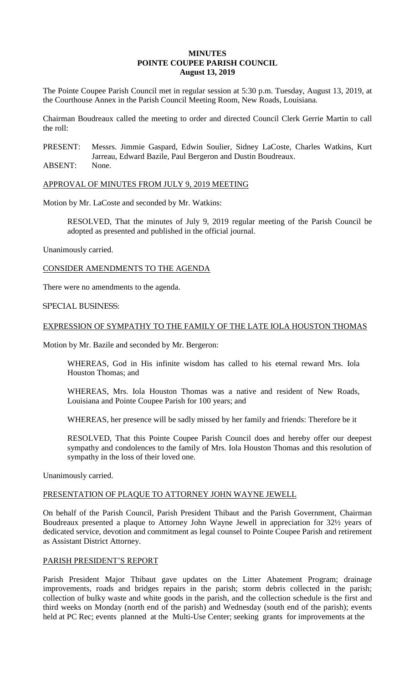## **MINUTES POINTE COUPEE PARISH COUNCIL August 13, 2019**

The Pointe Coupee Parish Council met in regular session at 5:30 p.m. Tuesday, August 13, 2019, at the Courthouse Annex in the Parish Council Meeting Room, New Roads, Louisiana.

Chairman Boudreaux called the meeting to order and directed Council Clerk Gerrie Martin to call the roll:

PRESENT: Messrs. Jimmie Gaspard, Edwin Soulier, Sidney LaCoste, Charles Watkins, Kurt Jarreau, Edward Bazile, Paul Bergeron and Dustin Boudreaux.

ABSENT: None.

APPROVAL OF MINUTES FROM JULY 9, 2019 MEETING

Motion by Mr. LaCoste and seconded by Mr. Watkins:

RESOLVED, That the minutes of July 9, 2019 regular meeting of the Parish Council be adopted as presented and published in the official journal.

Unanimously carried.

CONSIDER AMENDMENTS TO THE AGENDA

There were no amendments to the agenda.

# SPECIAL BUSINESS:

# EXPRESSION OF SYMPATHY TO THE FAMILY OF THE LATE IOLA HOUSTON THOMAS

Motion by Mr. Bazile and seconded by Mr. Bergeron:

WHEREAS, God in His infinite wisdom has called to his eternal reward Mrs. Iola Houston Thomas; and

WHEREAS, Mrs. Iola Houston Thomas was a native and resident of New Roads, Louisiana and Pointe Coupee Parish for 100 years; and

WHEREAS, her presence will be sadly missed by her family and friends: Therefore be it

RESOLVED, That this Pointe Coupee Parish Council does and hereby offer our deepest sympathy and condolences to the family of Mrs. Iola Houston Thomas and this resolution of sympathy in the loss of their loved one.

Unanimously carried.

# PRESENTATION OF PLAQUE TO ATTORNEY JOHN WAYNE JEWELL

On behalf of the Parish Council, Parish President Thibaut and the Parish Government, Chairman Boudreaux presented a plaque to Attorney John Wayne Jewell in appreciation for 32½ years of dedicated service, devotion and commitment as legal counsel to Pointe Coupee Parish and retirement as Assistant District Attorney.

### PARISH PRESIDENT'S REPORT

Parish President Major Thibaut gave updates on the Litter Abatement Program; drainage improvements, roads and bridges repairs in the parish; storm debris collected in the parish; collection of bulky waste and white goods in the parish, and the collection schedule is the first and third weeks on Monday (north end of the parish) and Wednesday (south end of the parish); events held at PC Rec; events planned at the Multi-Use Center; seeking grants for improvements at the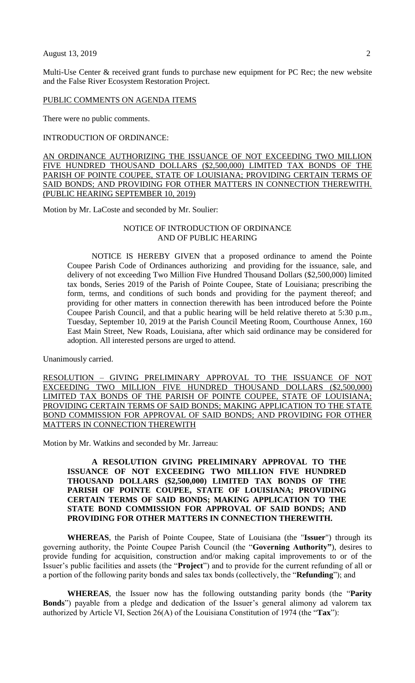Multi-Use Center & received grant funds to purchase new equipment for PC Rec; the new website and the False River Ecosystem Restoration Project.

#### PUBLIC COMMENTS ON AGENDA ITEMS

There were no public comments.

INTRODUCTION OF ORDINANCE:

AN ORDINANCE AUTHORIZING THE ISSUANCE OF NOT EXCEEDING TWO MILLION FIVE HUNDRED THOUSAND DOLLARS (\$2,500,000) LIMITED TAX BONDS OF THE PARISH OF POINTE COUPEE, STATE OF LOUISIANA; PROVIDING CERTAIN TERMS OF SAID BONDS; AND PROVIDING FOR OTHER MATTERS IN CONNECTION THEREWITH. (PUBLIC HEARING SEPTEMBER 10, 2019)

Motion by Mr. LaCoste and seconded by Mr. Soulier:

### NOTICE OF INTRODUCTION OF ORDINANCE AND OF PUBLIC HEARING

NOTICE IS HEREBY GIVEN that a proposed ordinance to amend the Pointe Coupee Parish Code of Ordinances authorizing and providing for the issuance, sale, and delivery of not exceeding Two Million Five Hundred Thousand Dollars (\$2,500,000) limited tax bonds, Series 2019 of the Parish of Pointe Coupee, State of Louisiana; prescribing the form, terms, and conditions of such bonds and providing for the payment thereof; and providing for other matters in connection therewith has been introduced before the Pointe Coupee Parish Council, and that a public hearing will be held relative thereto at 5:30 p.m., Tuesday, September 10, 2019 at the Parish Council Meeting Room, Courthouse Annex, 160 East Main Street, New Roads, Louisiana, after which said ordinance may be considered for adoption. All interested persons are urged to attend.

Unanimously carried.

RESOLUTION – GIVING PRELIMINARY APPROVAL TO THE ISSUANCE OF NOT EXCEEDING TWO MILLION FIVE HUNDRED THOUSAND DOLLARS (\$2,500,000) LIMITED TAX BONDS OF THE PARISH OF POINTE COUPEE, STATE OF LOUISIANA; PROVIDING CERTAIN TERMS OF SAID BONDS; MAKING APPLICATION TO THE STATE BOND COMMISSION FOR APPROVAL OF SAID BONDS; AND PROVIDING FOR OTHER MATTERS IN CONNECTION THEREWITH

Motion by Mr. Watkins and seconded by Mr. Jarreau:

**A RESOLUTION GIVING PRELIMINARY APPROVAL TO THE ISSUANCE OF NOT EXCEEDING TWO MILLION FIVE HUNDRED THOUSAND DOLLARS (\$2,500,000) LIMITED TAX BONDS OF THE PARISH OF POINTE COUPEE, STATE OF LOUISIANA; PROVIDING CERTAIN TERMS OF SAID BONDS; MAKING APPLICATION TO THE STATE BOND COMMISSION FOR APPROVAL OF SAID BONDS; AND PROVIDING FOR OTHER MATTERS IN CONNECTION THEREWITH.**

**WHEREAS**, the Parish of Pointe Coupee, State of Louisiana (the "**Issuer**") through its governing authority, the Pointe Coupee Parish Council (the "**Governing Authority"**), desires to provide funding for acquisition, construction and/or making capital improvements to or of the Issuer's public facilities and assets (the "**Project**") and to provide for the current refunding of all or a portion of the following parity bonds and sales tax bonds (collectively, the "**Refunding**"); and

**WHEREAS**, the Issuer now has the following outstanding parity bonds (the "**Parity Bonds**") payable from a pledge and dedication of the Issuer's general alimony ad valorem tax authorized by Article VI, Section 26(A) of the Louisiana Constitution of 1974 (the "**Tax**"):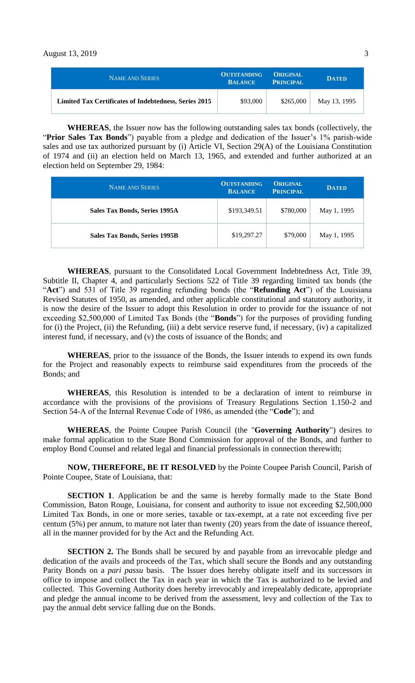| <b>NAME AND SERIES</b>                                | <b>OUTSTANDING</b><br><b>BALANCE</b> | <b>ORIGINAL</b><br><b>PRINCIPAL</b> | <b>DATED</b> |
|-------------------------------------------------------|--------------------------------------|-------------------------------------|--------------|
| Limited Tax Certificates of Indebtedness, Series 2015 | \$93,000                             | \$265,000                           | May 13, 1995 |

**WHEREAS**, the Issuer now has the following outstanding sales tax bonds (collectively, the "**Prior Sales Tax Bonds**") payable from a pledge and dedication of the Issuer's 1% parish-wide sales and use tax authorized pursuant by (i) Article VI, Section 29(A) of the Louisiana Constitution of 1974 and (ii) an election held on March 13, 1965, and extended and further authorized at an election held on September 29, 1984:

| <b>NAME AND SERIES</b>        | <b>OUTSTANDING</b><br><b>BALANCE</b> | <b>ORIGINAL</b><br><b>PRINCIPAL</b> | <b>DATED</b> |
|-------------------------------|--------------------------------------|-------------------------------------|--------------|
| Sales Tax Bonds, Series 1995A | \$193,349.51                         | \$780,000                           | May 1, 1995  |
| Sales Tax Bonds, Series 1995B | \$19,297.27                          | \$79,000                            | May 1, 1995  |

**WHEREAS**, pursuant to the Consolidated Local Government Indebtedness Act, Title 39, Subtitle II, Chapter 4, and particularly Sections 522 of Title 39 regarding limited tax bonds (the "**Act**") and 531 of Title 39 regarding refunding bonds (the "**Refunding Act**") of the Louisiana Revised Statutes of 1950, as amended, and other applicable constitutional and statutory authority, it is now the desire of the Issuer to adopt this Resolution in order to provide for the issuance of not exceeding \$2,500,000 of Limited Tax Bonds (the "**Bonds**") for the purposes of providing funding for (i) the Project, (ii) the Refunding, (iii) a debt service reserve fund, if necessary, (iv) a capitalized interest fund, if necessary, and (v) the costs of issuance of the Bonds; and

**WHEREAS**, prior to the issuance of the Bonds, the Issuer intends to expend its own funds for the Project and reasonably expects to reimburse said expenditures from the proceeds of the Bonds; and

**WHEREAS**, this Resolution is intended to be a declaration of intent to reimburse in accordance with the provisions of the provisions of Treasury Regulations Section 1.150-2 and Section 54-A of the Internal Revenue Code of 1986, as amended (the "**Code**"); and

**WHEREAS**, the Pointe Coupee Parish Council (the "**Governing Authority**") desires to make formal application to the State Bond Commission for approval of the Bonds, and further to employ Bond Counsel and related legal and financial professionals in connection therewith;

**NOW, THEREFORE, BE IT RESOLVED** by the Pointe Coupee Parish Council, Parish of Pointe Coupee, State of Louisiana, that:

**SECTION 1**. Application be and the same is hereby formally made to the State Bond Commission, Baton Rouge, Louisiana, for consent and authority to issue not exceeding \$2,500,000 Limited Tax Bonds, in one or more series, taxable or tax-exempt, at a rate not exceeding five per centum (5%) per annum, to mature not later than twenty (20) years from the date of issuance thereof, all in the manner provided for by the Act and the Refunding Act.

**SECTION 2.** The Bonds shall be secured by and payable from an irrevocable pledge and dedication of the avails and proceeds of the Tax, which shall secure the Bonds and any outstanding Parity Bonds on a *pari passu* basis. The Issuer does hereby obligate itself and its successors in office to impose and collect the Tax in each year in which the Tax is authorized to be levied and collected. This Governing Authority does hereby irrevocably and irrepealably dedicate, appropriate and pledge the annual income to be derived from the assessment, levy and collection of the Tax to pay the annual debt service falling due on the Bonds.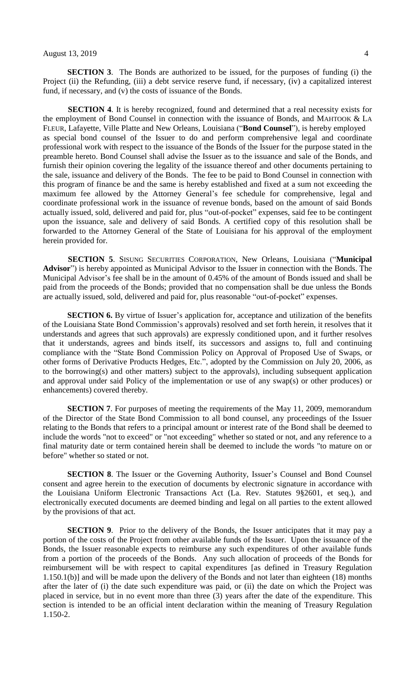**SECTION 3**. The Bonds are authorized to be issued, for the purposes of funding (i) the Project (ii) the Refunding, (iii) a debt service reserve fund, if necessary, (iv) a capitalized interest fund, if necessary, and (v) the costs of issuance of the Bonds.

**SECTION** 4. It is hereby recognized, found and determined that a real necessity exists for the employment of Bond Counsel in connection with the issuance of Bonds, and MAHTOOK & LA FLEUR, Lafayette, Ville Platte and New Orleans, Louisiana ("**Bond Counsel**"), is hereby employed as special bond counsel of the Issuer to do and perform comprehensive legal and coordinate professional work with respect to the issuance of the Bonds of the Issuer for the purpose stated in the preamble hereto. Bond Counsel shall advise the Issuer as to the issuance and sale of the Bonds, and furnish their opinion covering the legality of the issuance thereof and other documents pertaining to the sale, issuance and delivery of the Bonds. The fee to be paid to Bond Counsel in connection with this program of finance be and the same is hereby established and fixed at a sum not exceeding the maximum fee allowed by the Attorney General's fee schedule for comprehensive, legal and coordinate professional work in the issuance of revenue bonds, based on the amount of said Bonds actually issued, sold, delivered and paid for, plus "out-of-pocket" expenses, said fee to be contingent upon the issuance, sale and delivery of said Bonds. A certified copy of this resolution shall be forwarded to the Attorney General of the State of Louisiana for his approval of the employment herein provided for.

**SECTION 5**. SISUNG SECURITIES CORPORATION, New Orleans, Louisiana ("**Municipal Advisor**") is hereby appointed as Municipal Advisor to the Issuer in connection with the Bonds. The Municipal Advisor's fee shall be in the amount of 0.45% of the amount of Bonds issued and shall be paid from the proceeds of the Bonds; provided that no compensation shall be due unless the Bonds are actually issued, sold, delivered and paid for, plus reasonable "out-of-pocket" expenses.

**SECTION 6.** By virtue of Issuer's application for, acceptance and utilization of the benefits of the Louisiana State Bond Commission's approvals) resolved and set forth herein, it resolves that it understands and agrees that such approvals) are expressly conditioned upon, and it further resolves that it understands, agrees and binds itself, its successors and assigns to, full and continuing compliance with the "State Bond Commission Policy on Approval of Proposed Use of Swaps, or other forms of Derivative Products Hedges, Etc.", adopted by the Commission on July 20, 2006, as to the borrowing(s) and other matters) subject to the approvals), including subsequent application and approval under said Policy of the implementation or use of any swap(s) or other produces) or enhancements) covered thereby.

**SECTION 7**. For purposes of meeting the requirements of the May 11, 2009, memorandum of the Director of the State Bond Commission to all bond counsel, any proceedings of the Issuer relating to the Bonds that refers to a principal amount or interest rate of the Bond shall be deemed to include the words "not to exceed" or "not exceeding" whether so stated or not, and any reference to a final maturity date or term contained herein shall be deemed to include the words "to mature on or before" whether so stated or not.

**SECTION 8**. The Issuer or the Governing Authority, Issuer's Counsel and Bond Counsel consent and agree herein to the execution of documents by electronic signature in accordance with the Louisiana Uniform Electronic Transactions Act (La. Rev. Statutes 9§2601, et seq.), and electronically executed documents are deemed binding and legal on all parties to the extent allowed by the provisions of that act.

**SECTION 9**. Prior to the delivery of the Bonds, the Issuer anticipates that it may pay a portion of the costs of the Project from other available funds of the Issuer. Upon the issuance of the Bonds, the Issuer reasonable expects to reimburse any such expenditures of other available funds from a portion of the proceeds of the Bonds. Any such allocation of proceeds of the Bonds for reimbursement will be with respect to capital expenditures [as defined in Treasury Regulation 1.150.1(b)] and will be made upon the delivery of the Bonds and not later than eighteen (18) months after the later of (i) the date such expenditure was paid, or (ii) the date on which the Project was placed in service, but in no event more than three (3) years after the date of the expenditure. This section is intended to be an official intent declaration within the meaning of Treasury Regulation 1.150-2.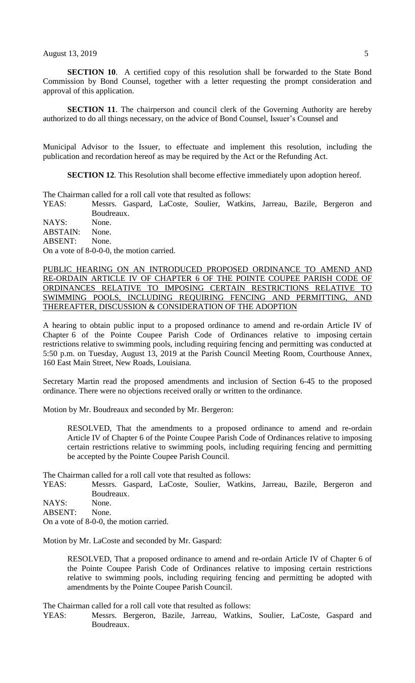**SECTION 10**. A certified copy of this resolution shall be forwarded to the State Bond Commission by Bond Counsel, together with a letter requesting the prompt consideration and approval of this application.

**SECTION** 11. The chairperson and council clerk of the Governing Authority are hereby authorized to do all things necessary, on the advice of Bond Counsel, Issuer's Counsel and

Municipal Advisor to the Issuer, to effectuate and implement this resolution, including the publication and recordation hereof as may be required by the Act or the Refunding Act.

**SECTION 12.** This Resolution shall become effective immediately upon adoption hereof.

The Chairman called for a roll call vote that resulted as follows:

YEAS: Messrs. Gaspard, LaCoste, Soulier, Watkins, Jarreau, Bazile, Bergeron and Boudreaux.

NAYS: None. ABSTAIN: None. ABSENT: None.

On a vote of 8-0-0-0, the motion carried.

PUBLIC HEARING ON AN INTRODUCED PROPOSED ORDINANCE TO AMEND AND RE-ORDAIN ARTICLE IV OF CHAPTER 6 OF THE POINTE COUPEE PARISH CODE OF ORDINANCES RELATIVE TO IMPOSING CERTAIN RESTRICTIONS RELATIVE TO SWIMMING POOLS, INCLUDING REQUIRING FENCING AND PERMITTING, AND THEREAFTER, DISCUSSION & CONSIDERATION OF THE ADOPTION

A hearing to obtain public input to a proposed ordinance to amend and re-ordain Article IV of Chapter 6 of the Pointe Coupee Parish Code of Ordinances relative to imposing certain restrictions relative to swimming pools, including requiring fencing and permitting was conducted at 5:50 p.m. on Tuesday, August 13, 2019 at the Parish Council Meeting Room, Courthouse Annex, 160 East Main Street, New Roads, Louisiana.

Secretary Martin read the proposed amendments and inclusion of Section 6-45 to the proposed ordinance. There were no objections received orally or written to the ordinance.

Motion by Mr. Boudreaux and seconded by Mr. Bergeron:

RESOLVED, That the amendments to a proposed ordinance to amend and re-ordain Article IV of Chapter 6 of the Pointe Coupee Parish Code of Ordinances relative to imposing certain restrictions relative to swimming pools, including requiring fencing and permitting be accepted by the Pointe Coupee Parish Council.

The Chairman called for a roll call vote that resulted as follows:

YEAS: Messrs. Gaspard, LaCoste, Soulier, Watkins, Jarreau, Bazile, Bergeron and Boudreaux.

NAYS: None.

ABSENT: None.

On a vote of 8-0-0, the motion carried.

Motion by Mr. LaCoste and seconded by Mr. Gaspard:

RESOLVED, That a proposed ordinance to amend and re-ordain Article IV of Chapter 6 of the Pointe Coupee Parish Code of Ordinances relative to imposing certain restrictions relative to swimming pools, including requiring fencing and permitting be adopted with amendments by the Pointe Coupee Parish Council.

The Chairman called for a roll call vote that resulted as follows:

YEAS: Messrs. Bergeron, Bazile, Jarreau, Watkins, Soulier, LaCoste, Gaspard and Boudreaux.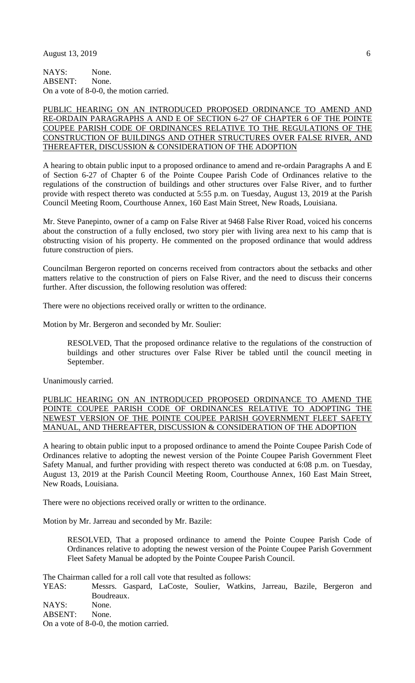NAYS: None. ABSENT: None. On a vote of 8-0-0, the motion carried.

## PUBLIC HEARING ON AN INTRODUCED PROPOSED ORDINANCE TO AMEND AND RE-ORDAIN PARAGRAPHS A AND E OF SECTION 6-27 OF CHAPTER 6 OF THE POINTE COUPEE PARISH CODE OF ORDINANCES RELATIVE TO THE REGULATIONS OF THE CONSTRUCTION OF BUILDINGS AND OTHER STRUCTURES OVER FALSE RIVER, AND THEREAFTER, DISCUSSION & CONSIDERATION OF THE ADOPTION

A hearing to obtain public input to a proposed ordinance to amend and re-ordain Paragraphs A and E of Section 6-27 of Chapter 6 of the Pointe Coupee Parish Code of Ordinances relative to the regulations of the construction of buildings and other structures over False River, and to further provide with respect thereto was conducted at 5:55 p.m. on Tuesday, August 13, 2019 at the Parish Council Meeting Room, Courthouse Annex, 160 East Main Street, New Roads, Louisiana.

Mr. Steve Panepinto, owner of a camp on False River at 9468 False River Road, voiced his concerns about the construction of a fully enclosed, two story pier with living area next to his camp that is obstructing vision of his property. He commented on the proposed ordinance that would address future construction of piers.

Councilman Bergeron reported on concerns received from contractors about the setbacks and other matters relative to the construction of piers on False River, and the need to discuss their concerns further. After discussion, the following resolution was offered:

There were no objections received orally or written to the ordinance.

Motion by Mr. Bergeron and seconded by Mr. Soulier:

RESOLVED, That the proposed ordinance relative to the regulations of the construction of buildings and other structures over False River be tabled until the council meeting in September.

Unanimously carried.

PUBLIC HEARING ON AN INTRODUCED PROPOSED ORDINANCE TO AMEND THE POINTE COUPEE PARISH CODE OF ORDINANCES RELATIVE TO ADOPTING THE NEWEST VERSION OF THE POINTE COUPEE PARISH GOVERNMENT FLEET SAFETY MANUAL, AND THEREAFTER, DISCUSSION & CONSIDERATION OF THE ADOPTION

A hearing to obtain public input to a proposed ordinance to amend the Pointe Coupee Parish Code of Ordinances relative to adopting the newest version of the Pointe Coupee Parish Government Fleet Safety Manual, and further providing with respect thereto was conducted at 6:08 p.m. on Tuesday, August 13, 2019 at the Parish Council Meeting Room, Courthouse Annex, 160 East Main Street, New Roads, Louisiana.

There were no objections received orally or written to the ordinance.

Motion by Mr. Jarreau and seconded by Mr. Bazile:

RESOLVED, That a proposed ordinance to amend the Pointe Coupee Parish Code of Ordinances relative to adopting the newest version of the Pointe Coupee Parish Government Fleet Safety Manual be adopted by the Pointe Coupee Parish Council.

The Chairman called for a roll call vote that resulted as follows:

YEAS: Messrs. Gaspard, LaCoste, Soulier, Watkins, Jarreau, Bazile, Bergeron and Boudreaux.

NAYS: None.

ABSENT: None.

On a vote of 8-0-0, the motion carried.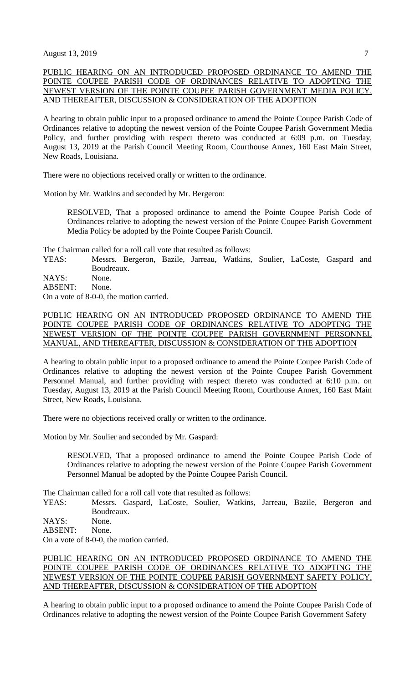# PUBLIC HEARING ON AN INTRODUCED PROPOSED ORDINANCE TO AMEND THE POINTE COUPEE PARISH CODE OF ORDINANCES RELATIVE TO ADOPTING THE NEWEST VERSION OF THE POINTE COUPEE PARISH GOVERNMENT MEDIA POLICY, AND THEREAFTER, DISCUSSION & CONSIDERATION OF THE ADOPTION

A hearing to obtain public input to a proposed ordinance to amend the Pointe Coupee Parish Code of Ordinances relative to adopting the newest version of the Pointe Coupee Parish Government Media Policy, and further providing with respect thereto was conducted at 6:09 p.m. on Tuesday, August 13, 2019 at the Parish Council Meeting Room, Courthouse Annex, 160 East Main Street, New Roads, Louisiana.

There were no objections received orally or written to the ordinance.

Motion by Mr. Watkins and seconded by Mr. Bergeron:

RESOLVED, That a proposed ordinance to amend the Pointe Coupee Parish Code of Ordinances relative to adopting the newest version of the Pointe Coupee Parish Government Media Policy be adopted by the Pointe Coupee Parish Council.

The Chairman called for a roll call vote that resulted as follows:

YEAS: Messrs. Bergeron, Bazile, Jarreau, Watkins, Soulier, LaCoste, Gaspard and Boudreaux.

NAYS: None.

ABSENT: None.

On a vote of 8-0-0, the motion carried.

## PUBLIC HEARING ON AN INTRODUCED PROPOSED ORDINANCE TO AMEND THE POINTE COUPEE PARISH CODE OF ORDINANCES RELATIVE TO ADOPTING THE NEWEST VERSION OF THE POINTE COUPEE PARISH GOVERNMENT PERSONNEL MANUAL, AND THEREAFTER, DISCUSSION & CONSIDERATION OF THE ADOPTION

A hearing to obtain public input to a proposed ordinance to amend the Pointe Coupee Parish Code of Ordinances relative to adopting the newest version of the Pointe Coupee Parish Government Personnel Manual, and further providing with respect thereto was conducted at 6:10 p.m. on Tuesday, August 13, 2019 at the Parish Council Meeting Room, Courthouse Annex, 160 East Main Street, New Roads, Louisiana.

There were no objections received orally or written to the ordinance.

Motion by Mr. Soulier and seconded by Mr. Gaspard:

RESOLVED, That a proposed ordinance to amend the Pointe Coupee Parish Code of Ordinances relative to adopting the newest version of the Pointe Coupee Parish Government Personnel Manual be adopted by the Pointe Coupee Parish Council.

The Chairman called for a roll call vote that resulted as follows:

YEAS: Messrs. Gaspard, LaCoste, Soulier, Watkins, Jarreau, Bazile, Bergeron and Boudreaux.

NAYS: None.

ABSENT: None.

On a vote of 8-0-0, the motion carried.

## PUBLIC HEARING ON AN INTRODUCED PROPOSED ORDINANCE TO AMEND THE POINTE COUPEE PARISH CODE OF ORDINANCES RELATIVE TO ADOPTING THE NEWEST VERSION OF THE POINTE COUPEE PARISH GOVERNMENT SAFETY POLICY, AND THEREAFTER, DISCUSSION & CONSIDERATION OF THE ADOPTION

A hearing to obtain public input to a proposed ordinance to amend the Pointe Coupee Parish Code of Ordinances relative to adopting the newest version of the Pointe Coupee Parish Government Safety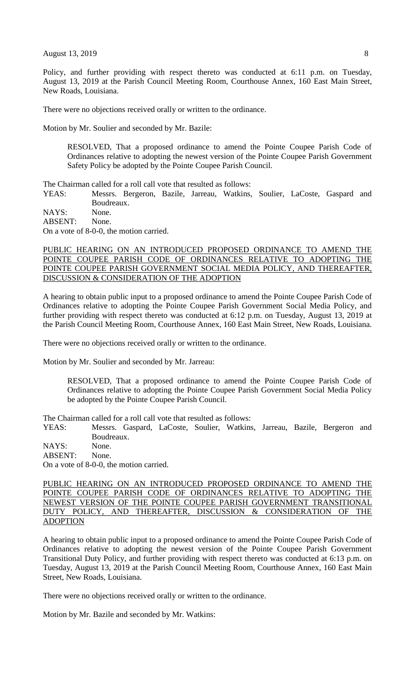Policy, and further providing with respect thereto was conducted at 6:11 p.m. on Tuesday, August 13, 2019 at the Parish Council Meeting Room, Courthouse Annex, 160 East Main Street, New Roads, Louisiana.

There were no objections received orally or written to the ordinance.

Motion by Mr. Soulier and seconded by Mr. Bazile:

RESOLVED, That a proposed ordinance to amend the Pointe Coupee Parish Code of Ordinances relative to adopting the newest version of the Pointe Coupee Parish Government Safety Policy be adopted by the Pointe Coupee Parish Council.

The Chairman called for a roll call vote that resulted as follows:

YEAS: Messrs. Bergeron, Bazile, Jarreau, Watkins, Soulier, LaCoste, Gaspard and Boudreaux.

NAYS: None.

ABSENT: None.

On a vote of 8-0-0, the motion carried.

## PUBLIC HEARING ON AN INTRODUCED PROPOSED ORDINANCE TO AMEND THE POINTE COUPEE PARISH CODE OF ORDINANCES RELATIVE TO ADOPTING THE POINTE COUPEE PARISH GOVERNMENT SOCIAL MEDIA POLICY, AND THEREAFTER, DISCUSSION & CONSIDERATION OF THE ADOPTION

A hearing to obtain public input to a proposed ordinance to amend the Pointe Coupee Parish Code of Ordinances relative to adopting the Pointe Coupee Parish Government Social Media Policy, and further providing with respect thereto was conducted at 6:12 p.m. on Tuesday, August 13, 2019 at the Parish Council Meeting Room, Courthouse Annex, 160 East Main Street, New Roads, Louisiana.

There were no objections received orally or written to the ordinance.

Motion by Mr. Soulier and seconded by Mr. Jarreau:

RESOLVED, That a proposed ordinance to amend the Pointe Coupee Parish Code of Ordinances relative to adopting the Pointe Coupee Parish Government Social Media Policy be adopted by the Pointe Coupee Parish Council.

The Chairman called for a roll call vote that resulted as follows:

YEAS: Messrs. Gaspard, LaCoste, Soulier, Watkins, Jarreau, Bazile, Bergeron and Boudreaux.

NAYS: None.

ABSENT: None.

On a vote of 8-0-0, the motion carried.

PUBLIC HEARING ON AN INTRODUCED PROPOSED ORDINANCE TO AMEND THE POINTE COUPEE PARISH CODE OF ORDINANCES RELATIVE TO ADOPTING THE NEWEST VERSION OF THE POINTE COUPEE PARISH GOVERNMENT TRANSITIONAL DUTY POLICY, AND THEREAFTER, DISCUSSION & CONSIDERATION OF THE ADOPTION

A hearing to obtain public input to a proposed ordinance to amend the Pointe Coupee Parish Code of Ordinances relative to adopting the newest version of the Pointe Coupee Parish Government Transitional Duty Policy, and further providing with respect thereto was conducted at 6:13 p.m. on Tuesday, August 13, 2019 at the Parish Council Meeting Room, Courthouse Annex, 160 East Main Street, New Roads, Louisiana.

There were no objections received orally or written to the ordinance.

Motion by Mr. Bazile and seconded by Mr. Watkins: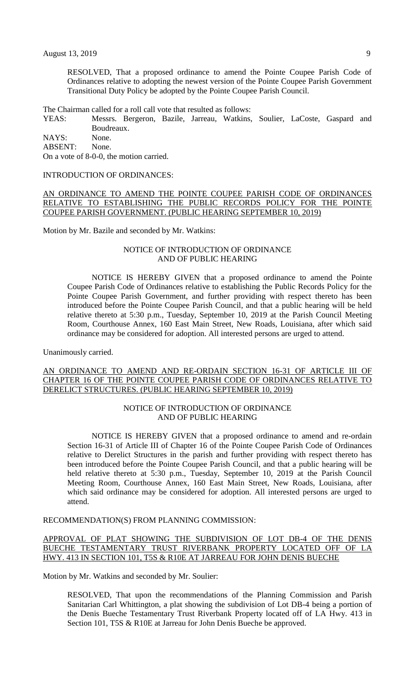RESOLVED, That a proposed ordinance to amend the Pointe Coupee Parish Code of Ordinances relative to adopting the newest version of the Pointe Coupee Parish Government Transitional Duty Policy be adopted by the Pointe Coupee Parish Council.

The Chairman called for a roll call vote that resulted as follows:

YEAS: Messrs. Bergeron, Bazile, Jarreau, Watkins, Soulier, LaCoste, Gaspard and Boudreaux.

NAYS: None. ABSENT: None.

On a vote of 8-0-0, the motion carried.

#### INTRODUCTION OF ORDINANCES:

# AN ORDINANCE TO AMEND THE POINTE COUPEE PARISH CODE OF ORDINANCES RELATIVE TO ESTABLISHING THE PUBLIC RECORDS POLICY FOR THE POINTE COUPEE PARISH GOVERNMENT. (PUBLIC HEARING SEPTEMBER 10, 2019)

Motion by Mr. Bazile and seconded by Mr. Watkins:

## NOTICE OF INTRODUCTION OF ORDINANCE AND OF PUBLIC HEARING

NOTICE IS HEREBY GIVEN that a proposed ordinance to amend the Pointe Coupee Parish Code of Ordinances relative to establishing the Public Records Policy for the Pointe Coupee Parish Government, and further providing with respect thereto has been introduced before the Pointe Coupee Parish Council, and that a public hearing will be held relative thereto at 5:30 p.m., Tuesday, September 10, 2019 at the Parish Council Meeting Room, Courthouse Annex, 160 East Main Street, New Roads, Louisiana, after which said ordinance may be considered for adoption. All interested persons are urged to attend.

Unanimously carried.

## AN ORDINANCE TO AMEND AND RE-ORDAIN SECTION 16-31 OF ARTICLE III OF CHAPTER 16 OF THE POINTE COUPEE PARISH CODE OF ORDINANCES RELATIVE TO DERELICT STRUCTURES. (PUBLIC HEARING SEPTEMBER 10, 2019)

## NOTICE OF INTRODUCTION OF ORDINANCE AND OF PUBLIC HEARING

NOTICE IS HEREBY GIVEN that a proposed ordinance to amend and re-ordain Section 16-31 of Article III of Chapter 16 of the Pointe Coupee Parish Code of Ordinances relative to Derelict Structures in the parish and further providing with respect thereto has been introduced before the Pointe Coupee Parish Council, and that a public hearing will be held relative thereto at 5:30 p.m., Tuesday, September 10, 2019 at the Parish Council Meeting Room, Courthouse Annex, 160 East Main Street, New Roads, Louisiana, after which said ordinance may be considered for adoption. All interested persons are urged to attend.

#### RECOMMENDATION(S) FROM PLANNING COMMISSION:

## APPROVAL OF PLAT SHOWING THE SUBDIVISION OF LOT DB-4 OF THE DENIS BUECHE TESTAMENTARY TRUST RIVERBANK PROPERTY LOCATED OFF OF LA HWY. 413 IN SECTION 101, T5S & R10E AT JARREAU FOR JOHN DENIS BUECHE

Motion by Mr. Watkins and seconded by Mr. Soulier:

RESOLVED, That upon the recommendations of the Planning Commission and Parish Sanitarian Carl Whittington, a plat showing the subdivision of Lot DB-4 being a portion of the Denis Bueche Testamentary Trust Riverbank Property located off of LA Hwy. 413 in Section 101, T5S & R10E at Jarreau for John Denis Bueche be approved.